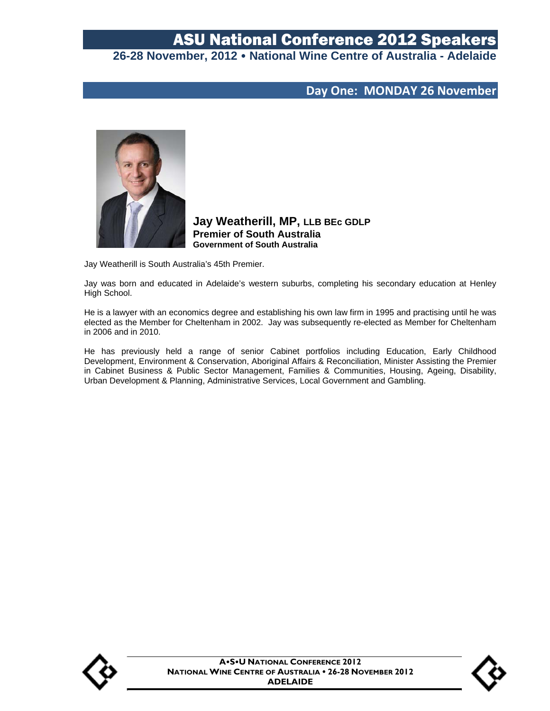# ASU National Conference 2012 Speakers

## **26-28 November, 2012 National Wine Centre of Australia - Adelaide**

### **Day One: MONDAY 26 November**



**Jay Weatherill, MP, LLB BEc GDLP Premier of South Australia Government of South Australia**

Jay Weatherill is South Australia's 45th Premier.

Jay was born and educated in Adelaide's western suburbs, completing his secondary education at Henley High School.

He is a lawyer with an economics degree and establishing his own law firm in 1995 and practising until he was elected as the Member for Cheltenham in 2002. Jay was subsequently re-elected as Member for Cheltenham in 2006 and in 2010.

He has previously held a range of senior Cabinet portfolios including Education, Early Childhood Development, Environment & Conservation, Aboriginal Affairs & Reconciliation, Minister Assisting the Premier in Cabinet Business & Public Sector Management, Families & Communities, Housing, Ageing, Disability, Urban Development & Planning, Administrative Services, Local Government and Gambling.



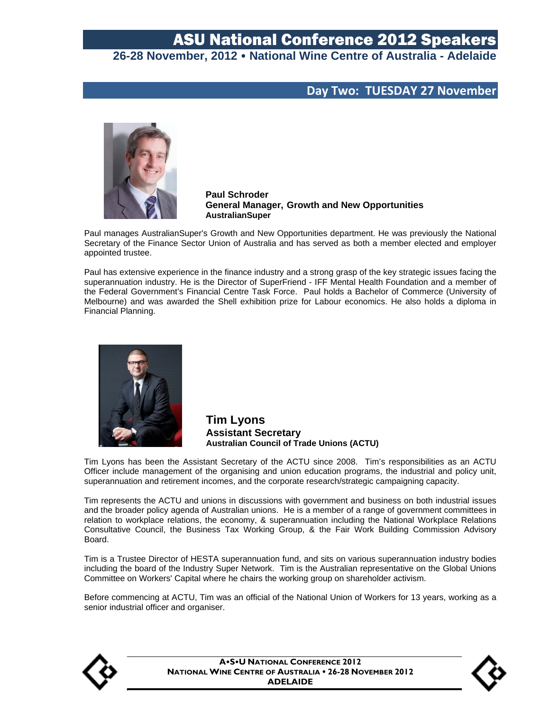### **Day Two: TUESDAY 27 November**



**Paul Schroder General Manager, Growth and New Opportunities AustralianSuper** 

Paul manages AustralianSuper's Growth and New Opportunities department. He was previously the National Secretary of the Finance Sector Union of Australia and has served as both a member elected and employer appointed trustee.

Paul has extensive experience in the finance industry and a strong grasp of the key strategic issues facing the superannuation industry. He is the Director of SuperFriend - IFF Mental Health Foundation and a member of the Federal Government's Financial Centre Task Force. Paul holds a Bachelor of Commerce (University of Melbourne) and was awarded the Shell exhibition prize for Labour economics. He also holds a diploma in Financial Planning.



**Tim Lyons Assistant Secretary Australian Council of Trade Unions (ACTU)** 

Tim Lyons has been the Assistant Secretary of the ACTU since 2008. Tim's responsibilities as an ACTU Officer include management of the organising and union education programs, the industrial and policy unit, superannuation and retirement incomes, and the corporate research/strategic campaigning capacity.

Tim represents the ACTU and unions in discussions with government and business on both industrial issues and the broader policy agenda of Australian unions. He is a member of a range of government committees in relation to workplace relations, the economy, & superannuation including the National Workplace Relations Consultative Council, the Business Tax Working Group, & the Fair Work Building Commission Advisory Board.

Tim is a Trustee Director of HESTA superannuation fund, and sits on various superannuation industry bodies including the board of the Industry Super Network. Tim is the Australian representative on the Global Unions Committee on Workers' Capital where he chairs the working group on shareholder activism.

Before commencing at ACTU, Tim was an official of the National Union of Workers for 13 years, working as a senior industrial officer and organiser.



**ASU NATIONAL CONFERENCE 2012 NATIONAL WINE CENTRE OF AUSTRALIA . 26-28 NOVEMBER 2012 ADELAIDE**

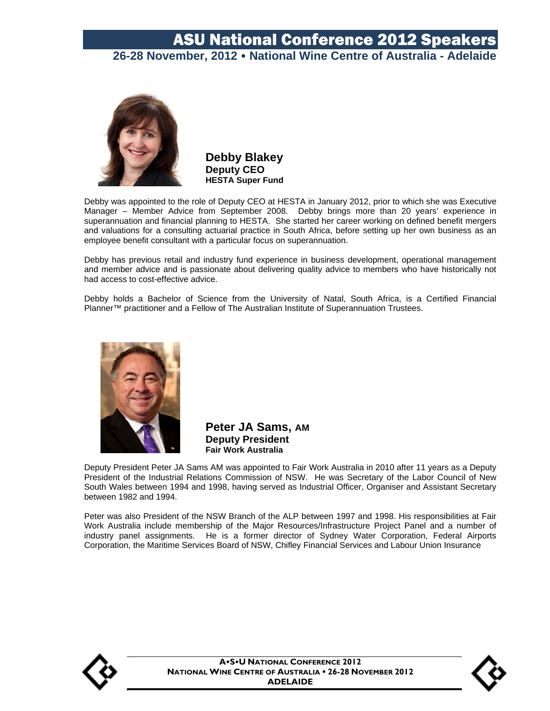

**Debby Blakey Deputy CEO HESTA Super Fund** 

Debby was appointed to the role of Deputy CEO at HESTA in January 2012, prior to which she was Executive Manager – Member Advice from September 2008. Debby brings more than 20 years' experience in superannuation and financial planning to HESTA. She started her career working on defined benefit mergers and valuations for a consulting actuarial practice in South Africa, before setting up her own business as an employee benefit consultant with a particular focus on superannuation.

Debby has previous retail and industry fund experience in business development, operational management and member advice and is passionate about delivering quality advice to members who have historically not had access to cost-effective advice.

Debby holds a Bachelor of Science from the University of Natal, South Africa, is a Certified Financial Planner™ practitioner and a Fellow of The Australian Institute of Superannuation Trustees.



**Peter JA Sams, AM Deputy President Fair Work Australia** 

Deputy President Peter JA Sams AM was appointed to Fair Work Australia in 2010 after 11 years as a Deputy President of the Industrial Relations Commission of NSW. He was Secretary of the Labor Council of New South Wales between 1994 and 1998, having served as Industrial Officer, Organiser and Assistant Secretary between 1982 and 1994.

Peter was also President of the NSW Branch of the ALP between 1997 and 1998. His responsibilities at Fair Work Australia include membership of the Major Resources/Infrastructure Project Panel and a number of industry panel assignments. He is a former director of Sydney Water Corporation, Federal Airports Corporation, the Maritime Services Board of NSW, Chifley Financial Services and Labour Union Insurance



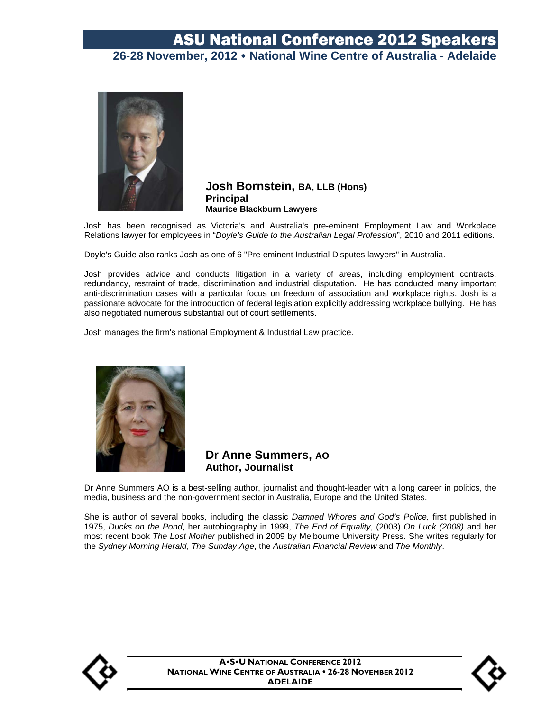

#### **Josh Bornstein, BA, LLB (Hons) Principal Maurice Blackburn Lawyers**

Josh has been recognised as Victoria's and Australia's pre-eminent Employment Law and Workplace Relations lawyer for employees in "*Doyle's Guide to the Australian Legal Profession*", 2010 and 2011 editions.

Doyle's Guide also ranks Josh as one of 6 "Pre-eminent Industrial Disputes lawyers" in Australia.

Josh provides advice and conducts litigation in a variety of areas, including employment contracts, redundancy, restraint of trade, discrimination and industrial disputation. He has conducted many important anti-discrimination cases with a particular focus on freedom of association and workplace rights. Josh is a passionate advocate for the introduction of federal legislation explicitly addressing workplace bullying. He has also negotiated numerous substantial out of court settlements.

Josh manages the firm's national Employment & Industrial Law practice.



**Dr Anne Summers, AO Author, Journalist**

Dr Anne Summers AO is a best-selling author, journalist and thought-leader with a long career in politics, the media, business and the non-government sector in Australia, Europe and the United States.

She is author of several books, including the classic *Damned Whores and God's Police,* first published in 1975, *Ducks on the Pond*, her autobiography in 1999, *The End of Equality*, (2003) *On Luck (2008)* and her most recent book *The Lost Mother* published in 2009 by Melbourne University Press. She writes regularly for the *Sydney Morning Herald*, *The Sunday Age*, the *Australian Financial Review* and *The Monthly*.



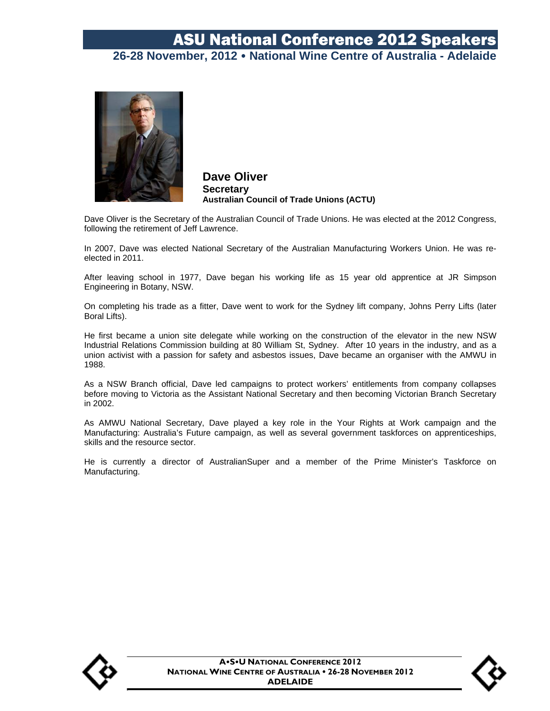

**Dave Oliver Secretary Australian Council of Trade Unions (ACTU)** 

Dave Oliver is the Secretary of the Australian Council of Trade Unions. He was elected at the 2012 Congress, following the retirement of Jeff Lawrence.

In 2007, Dave was elected National Secretary of the Australian Manufacturing Workers Union. He was reelected in 2011.

After leaving school in 1977, Dave began his working life as 15 year old apprentice at JR Simpson Engineering in Botany, NSW.

On completing his trade as a fitter, Dave went to work for the Sydney lift company, Johns Perry Lifts (later Boral Lifts).

He first became a union site delegate while working on the construction of the elevator in the new NSW Industrial Relations Commission building at 80 William St, Sydney. After 10 years in the industry, and as a union activist with a passion for safety and asbestos issues, Dave became an organiser with the AMWU in 1988.

As a NSW Branch official, Dave led campaigns to protect workers' entitlements from company collapses before moving to Victoria as the Assistant National Secretary and then becoming Victorian Branch Secretary in 2002.

As AMWU National Secretary, Dave played a key role in the Your Rights at Work campaign and the Manufacturing: Australia's Future campaign, as well as several government taskforces on apprenticeships, skills and the resource sector.

He is currently a director of AustralianSuper and a member of the Prime Minister's Taskforce on Manufacturing.



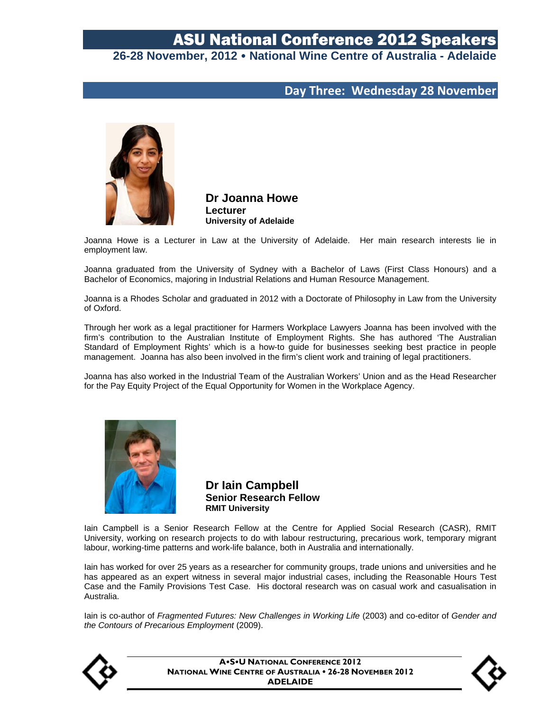### **Day Three: Wednesday 28 November**



**Dr Joanna Howe Lecturer University of Adelaide** 

Joanna Howe is a Lecturer in Law at the University of Adelaide. Her main research interests lie in employment law.

Joanna graduated from the University of Sydney with a Bachelor of Laws (First Class Honours) and a Bachelor of Economics, majoring in Industrial Relations and Human Resource Management.

Joanna is a Rhodes Scholar and graduated in 2012 with a Doctorate of Philosophy in Law from the University of Oxford.

Through her work as a legal practitioner for Harmers Workplace Lawyers Joanna has been involved with the firm's contribution to the Australian Institute of Employment Rights. She has authored 'The Australian Standard of Employment Rights' which is a how-to guide for businesses seeking best practice in people management. Joanna has also been involved in the firm's client work and training of legal practitioners.

Joanna has also worked in the Industrial Team of the Australian Workers' Union and as the Head Researcher for the Pay Equity Project of the Equal Opportunity for Women in the Workplace Agency.



**Dr Iain Campbell Senior Research Fellow RMIT University** 

Iain Campbell is a Senior Research Fellow at the Centre for Applied Social Research (CASR), RMIT University, working on research projects to do with labour restructuring, precarious work, temporary migrant labour, working-time patterns and work-life balance, both in Australia and internationally.

Iain has worked for over 25 years as a researcher for community groups, trade unions and universities and he has appeared as an expert witness in several major industrial cases, including the Reasonable Hours Test Case and the Family Provisions Test Case. His doctoral research was on casual work and casualisation in Australia.

Iain is co-author of *Fragmented Futures: New Challenges in Working Life* (2003) and co-editor of *Gender and the Contours of Precarious Employment* (2009).



**ASU NATIONAL CONFERENCE 2012 NATIONAL WINE CENTRE OF AUSTRALIA . 26-28 NOVEMBER 2012 ADELAIDE**

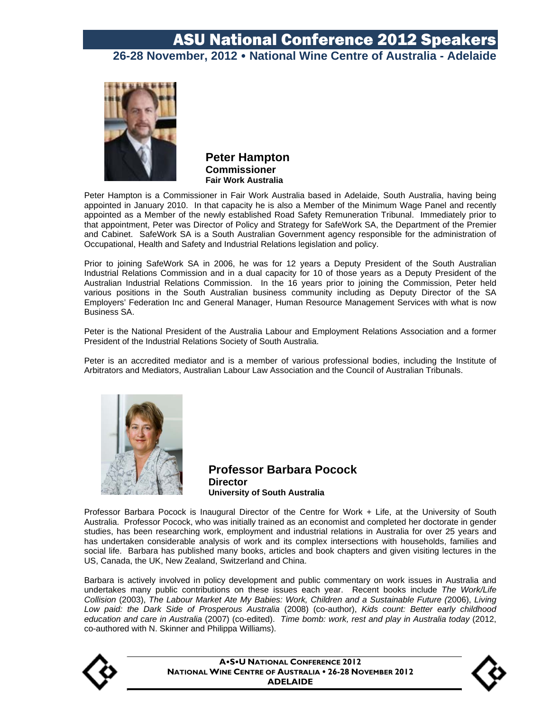

**Peter Hampton Commissioner Fair Work Australia** 

Peter Hampton is a Commissioner in Fair Work Australia based in Adelaide, South Australia, having being appointed in January 2010. In that capacity he is also a Member of the Minimum Wage Panel and recently appointed as a Member of the newly established Road Safety Remuneration Tribunal. Immediately prior to that appointment, Peter was Director of Policy and Strategy for SafeWork SA, the Department of the Premier and Cabinet. SafeWork SA is a South Australian Government agency responsible for the administration of Occupational, Health and Safety and Industrial Relations legislation and policy.

Prior to joining SafeWork SA in 2006, he was for 12 years a Deputy President of the South Australian Industrial Relations Commission and in a dual capacity for 10 of those years as a Deputy President of the Australian Industrial Relations Commission. In the 16 years prior to joining the Commission, Peter held various positions in the South Australian business community including as Deputy Director of the SA Employers' Federation Inc and General Manager, Human Resource Management Services with what is now Business SA.

Peter is the National President of the Australia Labour and Employment Relations Association and a former President of the Industrial Relations Society of South Australia.

Peter is an accredited mediator and is a member of various professional bodies, including the Institute of Arbitrators and Mediators, Australian Labour Law Association and the Council of Australian Tribunals.



**Professor Barbara Pocock Director University of South Australia** 

Professor Barbara Pocock is Inaugural Director of the Centre for Work + Life, at the University of South Australia. Professor Pocock, who was initially trained as an economist and completed her doctorate in gender studies, has been researching work, employment and industrial relations in Australia for over 25 years and has undertaken considerable analysis of work and its complex intersections with households, families and social life. Barbara has published many books, articles and book chapters and given visiting lectures in the US, Canada, the UK, New Zealand, Switzerland and China.

Barbara is actively involved in policy development and public commentary on work issues in Australia and undertakes many public contributions on these issues each year. Recent books include *The Work/Life Collision* (2003), *The Labour Market Ate My Babies: Work, Children and a Sustainable Future (*2006), *Living Low paid: the Dark Side of Prosperous Australia* (2008) (co-author), *Kids count: Better early childhood education and care in Australia* (2007) (co-edited). *Time bomb: work, rest and play in Australia today* (2012, co-authored with N. Skinner and Philippa Williams).



**ASU NATIONAL CONFERENCE 2012 NATIONAL WINE CENTRE OF AUSTRALIA . 26-28 NOVEMBER 2012 ADELAIDE**

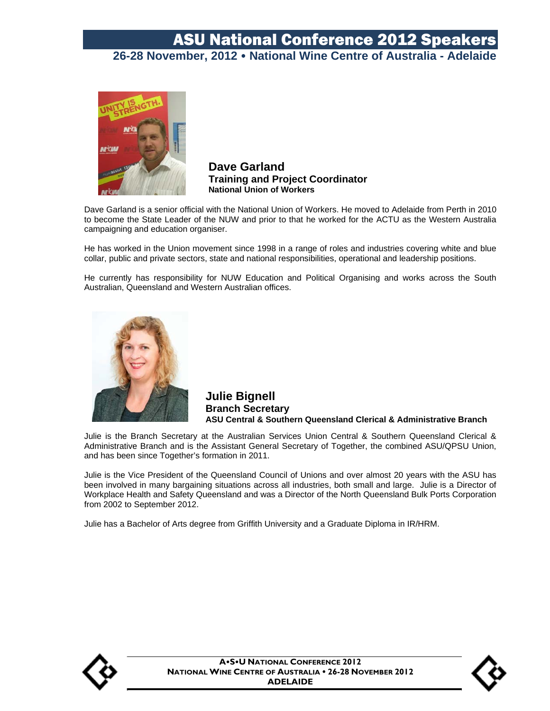

**Dave Garland Training and Project Coordinator National Union of Workers** 

Dave Garland is a senior official with the National Union of Workers. He moved to Adelaide from Perth in 2010 to become the State Leader of the NUW and prior to that he worked for the ACTU as the Western Australia campaigning and education organiser.

He has worked in the Union movement since 1998 in a range of roles and industries covering white and blue collar, public and private sectors, state and national responsibilities, operational and leadership positions.

He currently has responsibility for NUW Education and Political Organising and works across the South Australian, Queensland and Western Australian offices.



**Julie Bignell Branch Secretary ASU Central & Southern Queensland Clerical & Administrative Branch** 

Julie is the Branch Secretary at the Australian Services Union Central & Southern Queensland Clerical & Administrative Branch and is the Assistant General Secretary of Together, the combined ASU/QPSU Union, and has been since Together's formation in 2011.

Julie is the Vice President of the Queensland Council of Unions and over almost 20 years with the ASU has been involved in many bargaining situations across all industries, both small and large. Julie is a Director of Workplace Health and Safety Queensland and was a Director of the North Queensland Bulk Ports Corporation from 2002 to September 2012.

Julie has a Bachelor of Arts degree from Griffith University and a Graduate Diploma in IR/HRM.